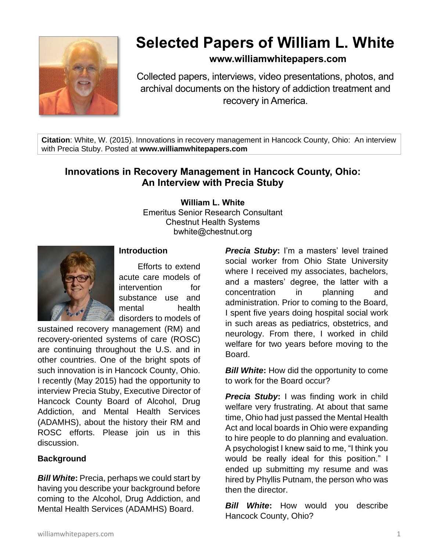

# **Selected Papers of William L. White**

# **www.williamwhitepapers.com**

Collected papers, interviews, video presentations, photos, and archival documents on the history of addiction treatment and recovery in America.

**Citation**: White, W. (2015). Innovations in recovery management in Hancock County, Ohio: An interview with Precia Stuby. Posted at **www.williamwhitepapers.com**

# **Innovations in Recovery Management in Hancock County, Ohio: An Interview with Precia Stuby**

**William L. White**

Emeritus Senior Research Consultant Chestnut Health Systems bwhite@chestnut.org



# **Introduction**

Efforts to extend acute care models of intervention for substance use and mental health disorders to models of

sustained recovery management (RM) and recovery-oriented systems of care (ROSC) are continuing throughout the U.S. and in other countries. One of the bright spots of such innovation is in Hancock County, Ohio. I recently (May 2015) had the opportunity to interview Precia Stuby, Executive Director of Hancock County Board of Alcohol, Drug Addiction, and Mental Health Services (ADAMHS), about the history their RM and ROSC efforts. Please join us in this discussion.

# **Background**

*Bill White***:** Precia, perhaps we could start by having you describe your background before coming to the Alcohol, Drug Addiction, and Mental Health Services (ADAMHS) Board.

*Precia Stuby***:** I'm a masters' level trained social worker from Ohio State University where I received my associates, bachelors, and a masters' degree, the latter with a concentration in planning and administration. Prior to coming to the Board, I spent five years doing hospital social work in such areas as pediatrics, obstetrics, and neurology. From there, I worked in child welfare for two years before moving to the Board.

*Bill White:* How did the opportunity to come to work for the Board occur?

*Precia Stuby***:** I was finding work in child welfare very frustrating. At about that same time, Ohio had just passed the Mental Health Act and local boards in Ohio were expanding to hire people to do planning and evaluation. A psychologist I knew said to me, "I think you would be really ideal for this position." I ended up submitting my resume and was hired by Phyllis Putnam, the person who was then the director.

*Bill White***:** How would you describe Hancock County, Ohio?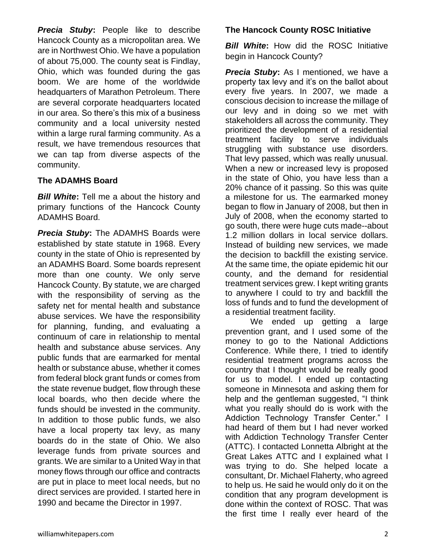*Precia Stuby***:** People like to describe Hancock County as a micropolitan area. We are in Northwest Ohio. We have a population of about 75,000. The county seat is Findlay, Ohio, which was founded during the gas boom. We are home of the worldwide headquarters of Marathon Petroleum. There are several corporate headquarters located in our area. So there's this mix of a business community and a local university nested within a large rural farming community. As a result, we have tremendous resources that we can tap from diverse aspects of the community.

# **The ADAMHS Board**

*Bill White***:** Tell me a about the history and primary functions of the Hancock County ADAMHS Board.

*Precia Stuby***:** The ADAMHS Boards were established by state statute in 1968. Every county in the state of Ohio is represented by an ADAMHS Board. Some boards represent more than one county. We only serve Hancock County. By statute, we are charged with the responsibility of serving as the safety net for mental health and substance abuse services. We have the responsibility for planning, funding, and evaluating a continuum of care in relationship to mental health and substance abuse services. Any public funds that are earmarked for mental health or substance abuse, whether it comes from federal block grant funds or comes from the state revenue budget, flow through these local boards, who then decide where the funds should be invested in the community. In addition to those public funds, we also have a local property tax levy, as many boards do in the state of Ohio. We also leverage funds from private sources and grants. We are similar to a United Way in that money flows through our office and contracts are put in place to meet local needs, but no direct services are provided. I started here in 1990 and became the Director in 1997.

# **The Hancock County ROSC Initiative**

**Bill White:** How did the ROSC Initiative begin in Hancock County?

*Precia Stuby***:** As I mentioned, we have a property tax levy and it's on the ballot about every five years. In 2007, we made a conscious decision to increase the millage of our levy and in doing so we met with stakeholders all across the community. They prioritized the development of a residential treatment facility to serve individuals struggling with substance use disorders. That levy passed, which was really unusual. When a new or increased levy is proposed in the state of Ohio, you have less than a 20% chance of it passing. So this was quite a milestone for us. The earmarked money began to flow in January of 2008, but then in July of 2008, when the economy started to go south, there were huge cuts made--about 1.2 million dollars in local service dollars. Instead of building new services, we made the decision to backfill the existing service. At the same time, the opiate epidemic hit our county, and the demand for residential treatment services grew. I kept writing grants to anywhere I could to try and backfill the loss of funds and to fund the development of a residential treatment facility.

We ended up getting a large prevention grant, and I used some of the money to go to the National Addictions Conference. While there, I tried to identify residential treatment programs across the country that I thought would be really good for us to model. I ended up contacting someone in Minnesota and asking them for help and the gentleman suggested, "I think what you really should do is work with the Addiction Technology Transfer Center." I had heard of them but I had never worked with Addiction Technology Transfer Center (ATTC). I contacted Lonnetta Albright at the Great Lakes ATTC and I explained what I was trying to do. She helped locate a consultant, Dr. Michael Flaherty, who agreed to help us. He said he would only do it on the condition that any program development is done within the context of ROSC. That was the first time I really ever heard of the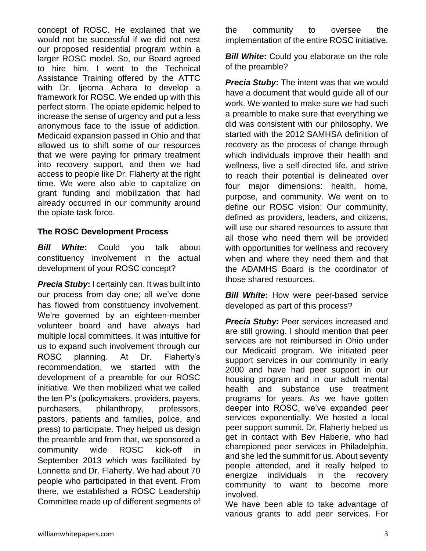concept of ROSC. He explained that we would not be successful if we did not nest our proposed residential program within a larger ROSC model. So, our Board agreed to hire him. I went to the Technical Assistance Training offered by the ATTC with Dr. Ijeoma Achara to develop a framework for ROSC. We ended up with this perfect storm. The opiate epidemic helped to increase the sense of urgency and put a less anonymous face to the issue of addiction. Medicaid expansion passed in Ohio and that allowed us to shift some of our resources that we were paying for primary treatment into recovery support, and then we had access to people like Dr. Flaherty at the right time. We were also able to capitalize on grant funding and mobilization that had already occurred in our community around the opiate task force.

# **The ROSC Development Process**

*Bill White***:** Could you talk about constituency involvement in the actual development of your ROSC concept?

*Precia Stuby***:** I certainly can. It was built into our process from day one; all we've done has flowed from constituency involvement. We're governed by an eighteen-member volunteer board and have always had multiple local committees. It was intuitive for us to expand such involvement through our ROSC planning. At Dr. Flaherty's recommendation, we started with the development of a preamble for our ROSC initiative. We then mobilized what we called the ten P's (policymakers, providers, payers, purchasers, philanthropy, professors, pastors, patients and families, police, and press) to participate. They helped us design the preamble and from that, we sponsored a community wide ROSC kick-off in September 2013 which was facilitated by Lonnetta and Dr. Flaherty. We had about 70 people who participated in that event. From there, we established a ROSC Leadership Committee made up of different segments of

the community to oversee the implementation of the entire ROSC initiative.

**Bill White:** Could you elaborate on the role of the preamble?

*Precia Stuby***:** The intent was that we would have a document that would guide all of our work. We wanted to make sure we had such a preamble to make sure that everything we did was consistent with our philosophy. We started with the 2012 SAMHSA definition of recovery as the process of change through which individuals improve their health and wellness, live a self-directed life, and strive to reach their potential is delineated over four major dimensions: health, home, purpose, and community. We went on to define our ROSC vision: Our community, defined as providers, leaders, and citizens, will use our shared resources to assure that all those who need them will be provided with opportunities for wellness and recovery when and where they need them and that the ADAMHS Board is the coordinator of those shared resources.

**Bill White:** How were peer-based service developed as part of this process?

**Precia Stuby:** Peer services increased and are still growing. I should mention that peer services are not reimbursed in Ohio under our Medicaid program. We initiated peer support services in our community in early 2000 and have had peer support in our housing program and in our adult mental health and substance use treatment programs for years. As we have gotten deeper into ROSC, we've expanded peer services exponentially. We hosted a local peer support summit. Dr. Flaherty helped us get in contact with Bev Haberle, who had championed peer services in Philadelphia, and she led the summit for us. About seventy people attended, and it really helped to energize individuals in the recovery community to want to become more involved.

We have been able to take advantage of various grants to add peer services. For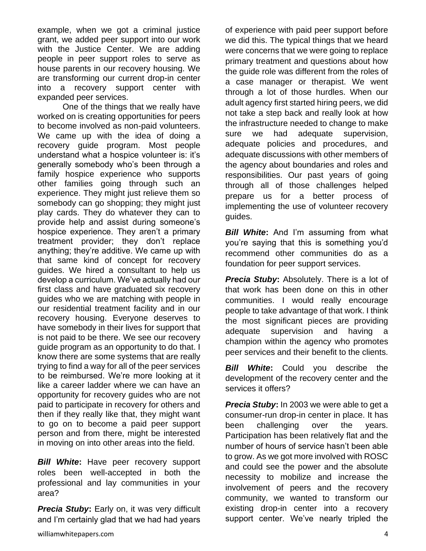example, when we got a criminal justice grant, we added peer support into our work with the Justice Center. We are adding people in peer support roles to serve as house parents in our recovery housing. We are transforming our current drop-in center into a recovery support center with expanded peer services.

One of the things that we really have worked on is creating opportunities for peers to become involved as non-paid volunteers. We came up with the idea of doing a recovery guide program. Most people understand what a hospice volunteer is: it's generally somebody who's been through a family hospice experience who supports other families going through such an experience. They might just relieve them so somebody can go shopping; they might just play cards. They do whatever they can to provide help and assist during someone's hospice experience. They aren't a primary treatment provider; they don't replace anything; they're additive. We came up with that same kind of concept for recovery guides. We hired a consultant to help us develop a curriculum. We've actually had our first class and have graduated six recovery guides who we are matching with people in our residential treatment facility and in our recovery housing. Everyone deserves to have somebody in their lives for support that is not paid to be there. We see our recovery guide program as an opportunity to do that. I know there are some systems that are really trying to find a way for all of the peer services to be reimbursed. We're more looking at it like a career ladder where we can have an opportunity for recovery guides who are not paid to participate in recovery for others and then if they really like that, they might want to go on to become a paid peer support person and from there, might be interested in moving on into other areas into the field.

*Bill White***:** Have peer recovery support roles been well-accepted in both the professional and lay communities in your area?

*Precia Stuby***:** Early on, it was very difficult and I'm certainly glad that we had had years

of experience with paid peer support before we did this. The typical things that we heard were concerns that we were going to replace primary treatment and questions about how the guide role was different from the roles of a case manager or therapist. We went through a lot of those hurdles. When our adult agency first started hiring peers, we did not take a step back and really look at how the infrastructure needed to change to make sure we had adequate supervision, adequate policies and procedures, and adequate discussions with other members of the agency about boundaries and roles and responsibilities. Our past years of going through all of those challenges helped prepare us for a better process of implementing the use of volunteer recovery guides.

*Bill White*: And I'm assuming from what you're saying that this is something you'd recommend other communities do as a foundation for peer support services.

*Precia Stuby***:** Absolutely. There is a lot of that work has been done on this in other communities. I would really encourage people to take advantage of that work. I think the most significant pieces are providing adequate supervision and having a champion within the agency who promotes peer services and their benefit to the clients.

*Bill White***:** Could you describe the development of the recovery center and the services it offers?

*Precia Stuby***:** In 2003 we were able to get a consumer-run drop-in center in place. It has been challenging over the years. Participation has been relatively flat and the number of hours of service hasn't been able to grow. As we got more involved with ROSC and could see the power and the absolute necessity to mobilize and increase the involvement of peers and the recovery community, we wanted to transform our existing drop-in center into a recovery support center. We've nearly tripled the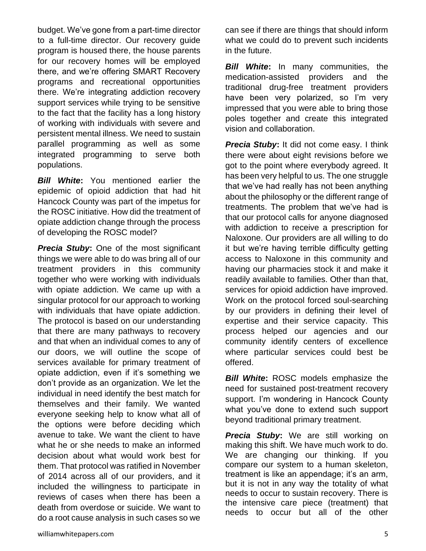budget. We've gone from a part-time director to a full-time director. Our recovery guide program is housed there, the house parents for our recovery homes will be employed there, and we're offering SMART Recovery programs and recreational opportunities there. We're integrating addiction recovery support services while trying to be sensitive to the fact that the facility has a long history of working with individuals with severe and persistent mental illness. We need to sustain parallel programming as well as some integrated programming to serve both populations.

*Bill White***:** You mentioned earlier the epidemic of opioid addiction that had hit Hancock County was part of the impetus for the ROSC initiative. How did the treatment of opiate addiction change through the process of developing the ROSC model?

*Precia Stuby***:** One of the most significant things we were able to do was bring all of our treatment providers in this community together who were working with individuals with opiate addiction. We came up with a singular protocol for our approach to working with individuals that have opiate addiction. The protocol is based on our understanding that there are many pathways to recovery and that when an individual comes to any of our doors, we will outline the scope of services available for primary treatment of opiate addiction, even if it's something we don't provide as an organization. We let the individual in need identify the best match for themselves and their family. We wanted everyone seeking help to know what all of the options were before deciding which avenue to take. We want the client to have what he or she needs to make an informed decision about what would work best for them. That protocol was ratified in November of 2014 across all of our providers, and it included the willingness to participate in reviews of cases when there has been a death from overdose or suicide. We want to do a root cause analysis in such cases so we

can see if there are things that should inform what we could do to prevent such incidents in the future.

*Bill White***:** In many communities, the medication-assisted providers and the traditional drug-free treatment providers have been very polarized, so I'm very impressed that you were able to bring those poles together and create this integrated vision and collaboration.

*Precia Stuby***:** It did not come easy. I think there were about eight revisions before we got to the point where everybody agreed. It has been very helpful to us. The one struggle that we've had really has not been anything about the philosophy or the different range of treatments. The problem that we've had is that our protocol calls for anyone diagnosed with addiction to receive a prescription for Naloxone. Our providers are all willing to do it but we're having terrible difficulty getting access to Naloxone in this community and having our pharmacies stock it and make it readily available to families. Other than that, services for opioid addiction have improved. Work on the protocol forced soul-searching by our providers in defining their level of expertise and their service capacity. This process helped our agencies and our community identify centers of excellence where particular services could best be offered.

*Bill White***:** ROSC models emphasize the need for sustained post-treatment recovery support. I'm wondering in Hancock County what you've done to extend such support beyond traditional primary treatment.

*Precia Stuby***:** We are still working on making this shift. We have much work to do. We are changing our thinking. If you compare our system to a human skeleton, treatment is like an appendage; it's an arm, but it is not in any way the totality of what needs to occur to sustain recovery. There is the intensive care piece (treatment) that needs to occur but all of the other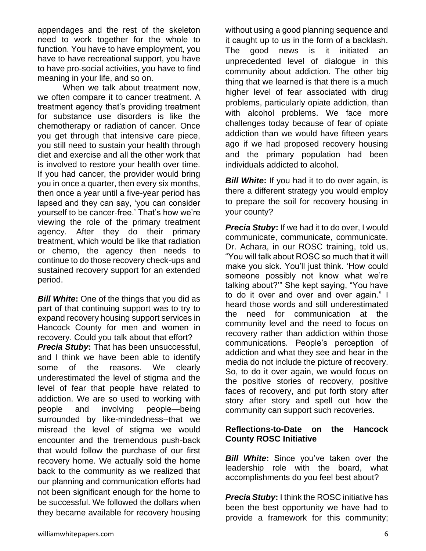appendages and the rest of the skeleton need to work together for the whole to function. You have to have employment, you have to have recreational support, you have to have pro-social activities, you have to find meaning in your life, and so on.

When we talk about treatment now. we often compare it to cancer treatment. A treatment agency that's providing treatment for substance use disorders is like the chemotherapy or radiation of cancer. Once you get through that intensive care piece, you still need to sustain your health through diet and exercise and all the other work that is involved to restore your health over time. If you had cancer, the provider would bring you in once a quarter, then every six months, then once a year until a five-year period has lapsed and they can say, 'you can consider yourself to be cancer-free.' That's how we're viewing the role of the primary treatment agency. After they do their primary treatment, which would be like that radiation or chemo, the agency then needs to continue to do those recovery check-ups and sustained recovery support for an extended period.

*Bill White***:** One of the things that you did as part of that continuing support was to try to expand recovery housing support services in Hancock County for men and women in recovery. Could you talk about that effort?

*Precia Stuby***:** That has been unsuccessful, and I think we have been able to identify some of the reasons. We clearly underestimated the level of stigma and the level of fear that people have related to addiction. We are so used to working with people and involving people—being surrounded by like-mindedness--that we misread the level of stigma we would encounter and the tremendous push-back that would follow the purchase of our first recovery home. We actually sold the home back to the community as we realized that our planning and communication efforts had not been significant enough for the home to be successful. We followed the dollars when they became available for recovery housing without using a good planning sequence and it caught up to us in the form of a backlash. The good news is it initiated an unprecedented level of dialogue in this community about addiction. The other big thing that we learned is that there is a much higher level of fear associated with drug problems, particularly opiate addiction, than with alcohol problems. We face more challenges today because of fear of opiate addiction than we would have fifteen years ago if we had proposed recovery housing and the primary population had been individuals addicted to alcohol.

*Bill White*: If you had it to do over again, is there a different strategy you would employ to prepare the soil for recovery housing in your county?

**Precia Stuby:** If we had it to do over, I would communicate, communicate, communicate. Dr. Achara, in our ROSC training, told us, "You will talk about ROSC so much that it will make you sick. You'll just think. 'How could someone possibly not know what we're talking about?'" She kept saying, "You have to do it over and over and over again." I heard those words and still underestimated the need for communication at the community level and the need to focus on recovery rather than addiction within those communications. People's perception of addiction and what they see and hear in the media do not include the picture of recovery. So, to do it over again, we would focus on the positive stories of recovery, positive faces of recovery, and put forth story after story after story and spell out how the community can support such recoveries.

# **Reflections-to-Date on the Hancock County ROSC Initiative**

*Bill White***:** Since you've taken over the leadership role with the board, what accomplishments do you feel best about?

*Precia Stuby***:** I think the ROSC initiative has been the best opportunity we have had to provide a framework for this community;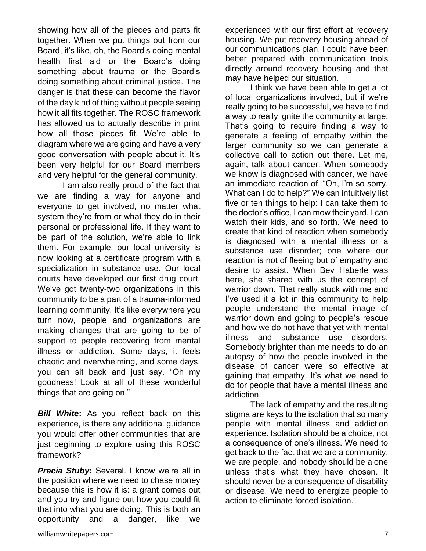showing how all of the pieces and parts fit together. When we put things out from our Board, it's like, oh, the Board's doing mental health first aid or the Board's doing something about trauma or the Board's doing something about criminal justice. The danger is that these can become the flavor of the day kind of thing without people seeing how it all fits together. The ROSC framework has allowed us to actually describe in print how all those pieces fit. We're able to diagram where we are going and have a very good conversation with people about it. It's been very helpful for our Board members and very helpful for the general community.

I am also really proud of the fact that we are finding a way for anyone and everyone to get involved, no matter what system they're from or what they do in their personal or professional life. If they want to be part of the solution, we're able to link them. For example, our local university is now looking at a certificate program with a specialization in substance use. Our local courts have developed our first drug court. We've got twenty-two organizations in this community to be a part of a trauma-informed learning community. It's like everywhere you turn now, people and organizations are making changes that are going to be of support to people recovering from mental illness or addiction. Some days, it feels chaotic and overwhelming, and some days, you can sit back and just say, "Oh my goodness! Look at all of these wonderful things that are going on."

*Bill White***:** As you reflect back on this experience, is there any additional guidance you would offer other communities that are just beginning to explore using this ROSC framework?

*Precia Stuby***:** Several. I know we're all in the position where we need to chase money because this is how it is: a grant comes out and you try and figure out how you could fit that into what you are doing. This is both an opportunity and a danger, like we

experienced with our first effort at recovery housing. We put recovery housing ahead of our communications plan. I could have been better prepared with communication tools directly around recovery housing and that may have helped our situation.

I think we have been able to get a lot of local organizations involved, but if we're really going to be successful, we have to find a way to really ignite the community at large. That's going to require finding a way to generate a feeling of empathy within the larger community so we can generate a collective call to action out there. Let me, again, talk about cancer. When somebody we know is diagnosed with cancer, we have an immediate reaction of, "Oh, I'm so sorry. What can I do to help?" We can intuitively list five or ten things to help: I can take them to the doctor's office, I can mow their yard, I can watch their kids, and so forth. We need to create that kind of reaction when somebody is diagnosed with a mental illness or a substance use disorder; one where our reaction is not of fleeing but of empathy and desire to assist. When Bev Haberle was here, she shared with us the concept of warrior down. That really stuck with me and I've used it a lot in this community to help people understand the mental image of warrior down and going to people's rescue and how we do not have that yet with mental illness and substance use disorders. Somebody brighter than me needs to do an autopsy of how the people involved in the disease of cancer were so effective at gaining that empathy. It's what we need to do for people that have a mental illness and addiction.

The lack of empathy and the resulting stigma are keys to the isolation that so many people with mental illness and addiction experience. Isolation should be a choice, not a consequence of one's illness. We need to get back to the fact that we are a community, we are people, and nobody should be alone unless that's what they have chosen. It should never be a consequence of disability or disease. We need to energize people to action to eliminate forced isolation.